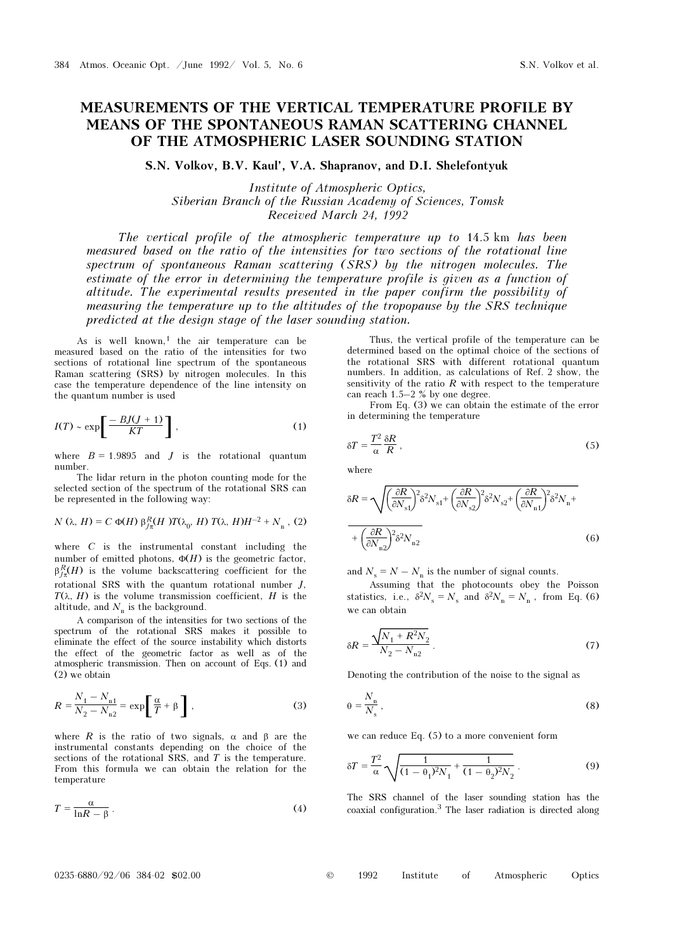## MEASUREMENTS OF THE VERTICAL TEMPERATURE PROFILE BY MEANS OF THE SPONTANEOUS RAMAN SCATTERING CHANNEL OF THE ATMOSPHERIC LASER SOUNDING STATION

S.N. Volkov, B.V. Kaul', V.A. Shapranov, and D.I. Shelefontyuk

Institute of Atmospheric Optics, Siberian Branch of the Russian Academy of Sciences, Tomsk Received March 24, 1992

The vertical profile of the atmospheric temperature up to 14.5 km has been measured based on the ratio of the intensities for two sections of the rotational line spectrum of spontaneous Raman scattering (SRS) by the nitrogen molecules. The estimate of the error in determining the temperature profile is given as a function of altitude. The experimental results presented in the paper confirm the possibility of measuring the temperature up to the altitudes of the tropopause by the SRS technique predicted at the design stage of the laser sounding station.

As is well known,<sup>1</sup> the air temperature can be measured based on the ratio of the intensities for two sections of rotational line spectrum of the spontaneous Raman scattering (SRS) by nitrogen molecules. In this case the temperature dependence of the line intensity on the quantum number is used

$$
I(T) \sim \exp\left[\frac{-BJ(J+1)}{KT}\right],\tag{1}
$$

where  $B = 1.9895$  and J is the rotational quantum number.

The lidar return in the photon counting mode for the selected section of the spectrum of the rotational SRS can be represented in the following way:

$$
N(\lambda, H) = C \Phi(H) \beta_{J\pi}^R(H) T(\lambda_0, H) T(\lambda, H) H^{-2} + N_{\rm n}, (2)
$$

where  $C$  is the instrumental constant including the number of emitted photons,  $\Phi(H)$  is the geometric factor,  $\beta_{\tau}^R(H)$  is the volume backscattering coefficient for the rotational SRS with the quantum rotational number J,  $T(\lambda, H)$  is the volume transmission coefficient, H is the altitude, and  $N_n$  is the background.

A comparison of the intensities for two sections of the spectrum of the rotational SRS makes it possible to eliminate the effect of the source instability which distorts the effect of the geometric factor as well as of the atmospheric transmission. Then on account of Eqs. (1) and (2) we obtain

$$
R = \frac{N_1 - N_{n1}}{N_2 - N_{n2}} = \exp\left[\frac{\alpha}{T} + \beta\right],
$$
 (3)

where R is the ratio of two signals,  $\alpha$  and  $\beta$  are the instrumental constants depending on the choice of the sections of the rotational SRS, and T is the temperature. From this formula we can obtain the relation for the temperature

$$
T = \frac{\alpha}{\ln R - \beta} \,. \tag{4}
$$

Thus, the vertical profile of the temperature can be determined based on the optimal choice of the sections of the rotational SRS with different rotational quantum numbers. In addition, as calculations of Ref. 2 show, the sensitivity of the ratio  $R$  with respect to the temperature can reach 1.5–2 % by one degree.

From Eq. (3) we can obtain the estimate of the error in determining the temperature

$$
\delta T = \frac{T^2}{\alpha} \frac{\delta R}{R} \,,\tag{5}
$$

where

$$
\delta R = \sqrt{\left(\frac{\partial R}{\partial N_{\rm s1}}\right)^2 \delta^2 N_{\rm s1} + \left(\frac{\partial R}{\partial N_{\rm s2}}\right)^2 \delta^2 N_{\rm s2} + \left(\frac{\partial R}{\partial N_{\rm n1}}\right)^2 \delta^2 N_{\rm n} + \left(\frac{\partial R}{\partial N_{\rm n2}}\right)^2 \delta^2 N_{\rm n2}}
$$
\n
$$
(6)
$$

and  $N_s = N - N_n$  is the number of signal counts.

Assuming that the photocounts obey the Poisson statistics, i.e.,  $\delta^2 N_s = N_s$  and  $\delta^2 N_n = N_n$ , from Eq. (6) we can obtain

$$
\delta R = \frac{\sqrt{N_1 + R^2 N_2}}{N_2 - N_{n2}}\,. \tag{7}
$$

Denoting the contribution of the noise to the signal as

$$
\theta = \frac{N_{\rm n}}{N_{\rm s}}\,,\tag{8}
$$

we can reduce Eq. (5) to a more convenient form

$$
\delta T = \frac{T^2}{\alpha} \sqrt{\frac{1}{(1 - \theta_1)^2 N_1} + \frac{1}{(1 - \theta_2)^2 N_2}}.
$$
 (9)

The SRS channel of the laser sounding station has the coaxial configuration.<sup>3</sup> The laser radiation is directed along

| $0235-6880/92/06$ 384-02 \$02.00 |  | 1992 |  |  | Institute of Atmospheric Optics |  |
|----------------------------------|--|------|--|--|---------------------------------|--|
|----------------------------------|--|------|--|--|---------------------------------|--|